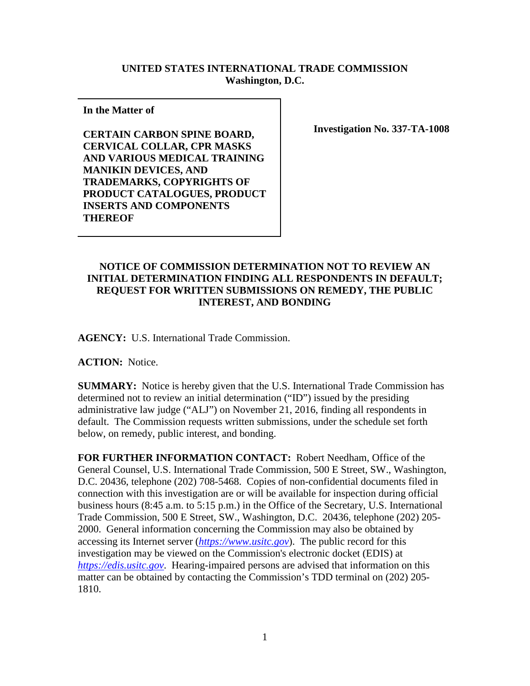## **UNITED STATES INTERNATIONAL TRADE COMMISSION Washington, D.C.**

**In the Matter of** 

**CERTAIN CARBON SPINE BOARD, CERVICAL COLLAR, CPR MASKS AND VARIOUS MEDICAL TRAINING MANIKIN DEVICES, AND TRADEMARKS, COPYRIGHTS OF PRODUCT CATALOGUES, PRODUCT INSERTS AND COMPONENTS THEREOF**

**Investigation No. 337-TA-1008**

## **NOTICE OF COMMISSION DETERMINATION NOT TO REVIEW AN INITIAL DETERMINATION FINDING ALL RESPONDENTS IN DEFAULT; REQUEST FOR WRITTEN SUBMISSIONS ON REMEDY, THE PUBLIC INTEREST, AND BONDING**

**AGENCY:** U.S. International Trade Commission.

**ACTION:** Notice.

**SUMMARY:** Notice is hereby given that the U.S. International Trade Commission has determined not to review an initial determination ("ID") issued by the presiding administrative law judge ("ALJ") on November 21, 2016, finding all respondents in default. The Commission requests written submissions, under the schedule set forth below, on remedy, public interest, and bonding.

**FOR FURTHER INFORMATION CONTACT:** Robert Needham, Office of the General Counsel, U.S. International Trade Commission, 500 E Street, SW., Washington, D.C. 20436, telephone (202) 708-5468. Copies of non-confidential documents filed in connection with this investigation are or will be available for inspection during official business hours (8:45 a.m. to 5:15 p.m.) in the Office of the Secretary, U.S. International Trade Commission, 500 E Street, SW., Washington, D.C. 20436, telephone (202) 205- 2000. General information concerning the Commission may also be obtained by accessing its Internet server (*[https://www.usitc.gov](https://www.usitc.gov/)*). The public record for this investigation may be viewed on the Commission's electronic docket (EDIS) at *[https://edis.usitc.gov](https://edis.usitc.gov/)*. Hearing-impaired persons are advised that information on this matter can be obtained by contacting the Commission's TDD terminal on (202) 205- 1810.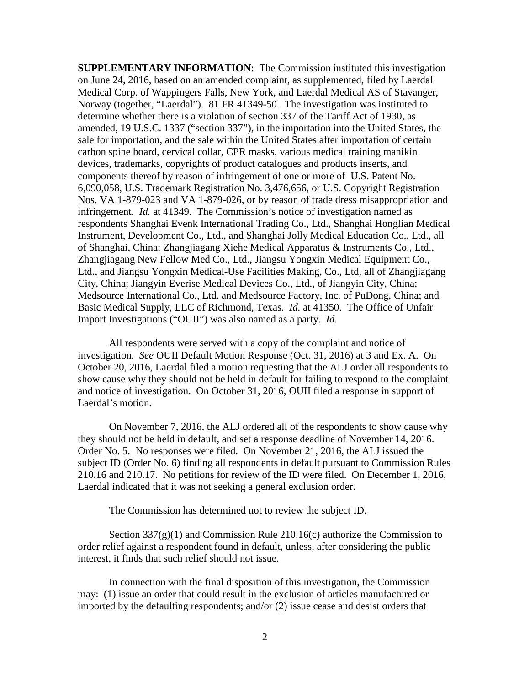**SUPPLEMENTARY INFORMATION**: The Commission instituted this investigation on June 24, 2016, based on an amended complaint, as supplemented, filed by Laerdal Medical Corp. of Wappingers Falls, New York, and Laerdal Medical AS of Stavanger, Norway (together, "Laerdal"). 81 FR 41349-50. The investigation was instituted to determine whether there is a violation of section 337 of the Tariff Act of 1930, as amended, 19 U.S.C. 1337 ("section 337"), in the importation into the United States, the sale for importation, and the sale within the United States after importation of certain carbon spine board, cervical collar, CPR masks, various medical training manikin devices, trademarks, copyrights of product catalogues and products inserts, and components thereof by reason of infringement of one or more of U.S. Patent No. 6,090,058, U.S. Trademark Registration No. 3,476,656, or U.S. Copyright Registration Nos. VA 1-879-023 and VA 1-879-026, or by reason of trade dress misappropriation and infringement. *Id.* at 41349. The Commission's notice of investigation named as respondents Shanghai Evenk International Trading Co., Ltd., Shanghai Honglian Medical Instrument, Development Co., Ltd., and Shanghai Jolly Medical Education Co., Ltd., all of Shanghai, China; Zhangjiagang Xiehe Medical Apparatus & Instruments Co., Ltd., Zhangjiagang New Fellow Med Co., Ltd., Jiangsu Yongxin Medical Equipment Co., Ltd., and Jiangsu Yongxin Medical-Use Facilities Making, Co., Ltd, all of Zhangjiagang City, China; Jiangyin Everise Medical Devices Co., Ltd., of Jiangyin City, China; Medsource International Co., Ltd. and Medsource Factory, Inc. of PuDong, China; and Basic Medical Supply, LLC of Richmond, Texas. *Id.* at 41350.The Office of Unfair Import Investigations ("OUII") was also named as a party. *Id.*

All respondents were served with a copy of the complaint and notice of investigation. *See* OUII Default Motion Response (Oct. 31, 2016) at 3 and Ex. A.On October 20, 2016, Laerdal filed a motion requesting that the ALJ order all respondents to show cause why they should not be held in default for failing to respond to the complaint and notice of investigation. On October 31, 2016, OUII filed a response in support of Laerdal's motion.

On November 7, 2016, the ALJ ordered all of the respondents to show cause why they should not be held in default, and set a response deadline of November 14, 2016. Order No. 5. No responses were filed. On November 21, 2016, the ALJ issued the subject ID (Order No. 6) finding all respondents in default pursuant to Commission Rules 210.16 and 210.17. No petitions for review of the ID were filed. On December 1, 2016, Laerdal indicated that it was not seeking a general exclusion order.

The Commission has determined not to review the subject ID.

Section  $337(g)(1)$  and Commission Rule 210.16(c) authorize the Commission to order relief against a respondent found in default, unless, after considering the public interest, it finds that such relief should not issue.

In connection with the final disposition of this investigation, the Commission may: (1) issue an order that could result in the exclusion of articles manufactured or imported by the defaulting respondents; and/or (2) issue cease and desist orders that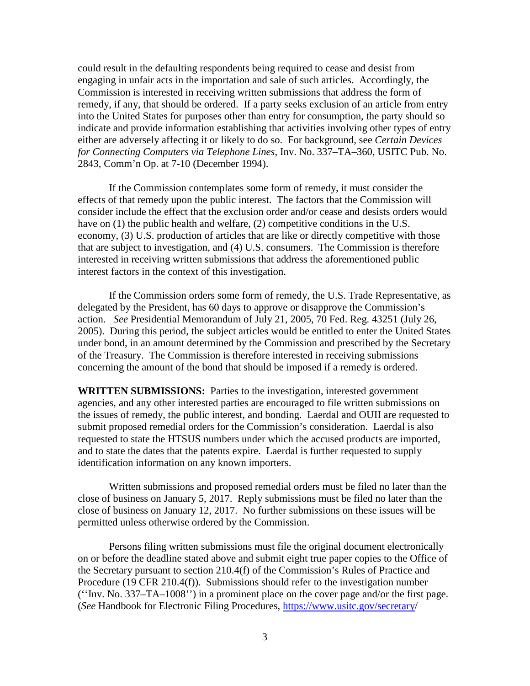could result in the defaulting respondents being required to cease and desist from engaging in unfair acts in the importation and sale of such articles. Accordingly, the Commission is interested in receiving written submissions that address the form of remedy, if any, that should be ordered. If a party seeks exclusion of an article from entry into the United States for purposes other than entry for consumption, the party should so indicate and provide information establishing that activities involving other types of entry either are adversely affecting it or likely to do so. For background, see *Certain Devices for Connecting Computers via Telephone Lines*, Inv. No. 337–TA–360, USITC Pub. No. 2843, Comm'n Op. at 7-10 (December 1994).

If the Commission contemplates some form of remedy, it must consider the effects of that remedy upon the public interest. The factors that the Commission will consider include the effect that the exclusion order and/or cease and desists orders would have on (1) the public health and welfare, (2) competitive conditions in the U.S. economy, (3) U.S. production of articles that are like or directly competitive with those that are subject to investigation, and (4) U.S. consumers. The Commission is therefore interested in receiving written submissions that address the aforementioned public interest factors in the context of this investigation.

If the Commission orders some form of remedy, the U.S. Trade Representative, as delegated by the President, has 60 days to approve or disapprove the Commission's action. *See* Presidential Memorandum of July 21, 2005, 70 Fed. Reg. 43251 (July 26, 2005). During this period, the subject articles would be entitled to enter the United States under bond, in an amount determined by the Commission and prescribed by the Secretary of the Treasury. The Commission is therefore interested in receiving submissions concerning the amount of the bond that should be imposed if a remedy is ordered.

**WRITTEN SUBMISSIONS:** Parties to the investigation, interested government agencies, and any other interested parties are encouraged to file written submissions on the issues of remedy, the public interest, and bonding. Laerdal and OUII are requested to submit proposed remedial orders for the Commission's consideration. Laerdal is also requested to state the HTSUS numbers under which the accused products are imported, and to state the dates that the patents expire. Laerdal is further requested to supply identification information on any known importers.

Written submissions and proposed remedial orders must be filed no later than the close of business on January 5, 2017. Reply submissions must be filed no later than the close of business on January 12, 2017. No further submissions on these issues will be permitted unless otherwise ordered by the Commission.

Persons filing written submissions must file the original document electronically on or before the deadline stated above and submit eight true paper copies to the Office of the Secretary pursuant to section 210.4(f) of the Commission's Rules of Practice and Procedure (19 CFR 210.4(f)). Submissions should refer to the investigation number (''Inv. No. 337–TA–1008'') in a prominent place on the cover page and/or the first page. (*See* Handbook for Electronic Filing Procedures, [https://www.usitc.gov/secretary/](https://www.usitc.gov/secretary)